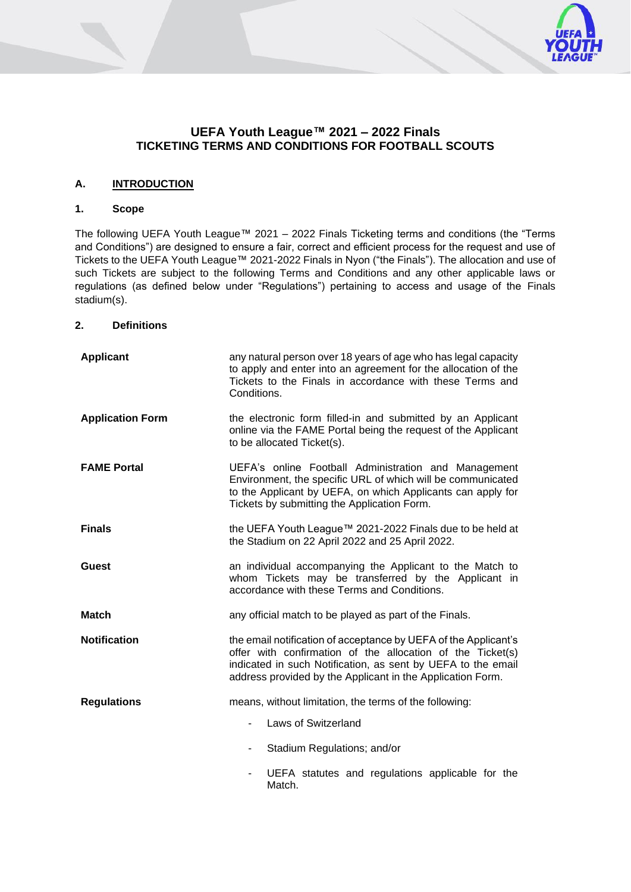

## **A. INTRODUCTION**

#### **1. Scope**

The following UEFA Youth League™ 2021 – 2022 Finals Ticketing terms and conditions (the "Terms and Conditions") are designed to ensure a fair, correct and efficient process for the request and use of Tickets to the UEFA Youth League™ 2021-2022 Finals in Nyon ("the Finals"). The allocation and use of such Tickets are subject to the following Terms and Conditions and any other applicable laws or regulations (as defined below under "Regulations") pertaining to access and usage of the Finals stadium(s).

#### **2. Definitions**

| <b>Applicant</b>        | any natural person over 18 years of age who has legal capacity<br>to apply and enter into an agreement for the allocation of the<br>Tickets to the Finals in accordance with these Terms and<br>Conditions.                                                 |
|-------------------------|-------------------------------------------------------------------------------------------------------------------------------------------------------------------------------------------------------------------------------------------------------------|
| <b>Application Form</b> | the electronic form filled-in and submitted by an Applicant<br>online via the FAME Portal being the request of the Applicant<br>to be allocated Ticket(s).                                                                                                  |
| <b>FAME Portal</b>      | UEFA's online Football Administration and Management<br>Environment, the specific URL of which will be communicated<br>to the Applicant by UEFA, on which Applicants can apply for<br>Tickets by submitting the Application Form.                           |
| <b>Finals</b>           | the UEFA Youth League™ 2021-2022 Finals due to be held at<br>the Stadium on 22 April 2022 and 25 April 2022.                                                                                                                                                |
| <b>Guest</b>            | an individual accompanying the Applicant to the Match to<br>whom Tickets may be transferred by the Applicant in<br>accordance with these Terms and Conditions.                                                                                              |
| Match                   | any official match to be played as part of the Finals.                                                                                                                                                                                                      |
| <b>Notification</b>     | the email notification of acceptance by UEFA of the Applicant's<br>offer with confirmation of the allocation of the Ticket(s)<br>indicated in such Notification, as sent by UEFA to the email<br>address provided by the Applicant in the Application Form. |
| <b>Regulations</b>      | means, without limitation, the terms of the following:                                                                                                                                                                                                      |
|                         | Laws of Switzerland                                                                                                                                                                                                                                         |
|                         | Stadium Regulations; and/or                                                                                                                                                                                                                                 |
|                         | UEFA statutes and regulations applicable for the<br>Match.                                                                                                                                                                                                  |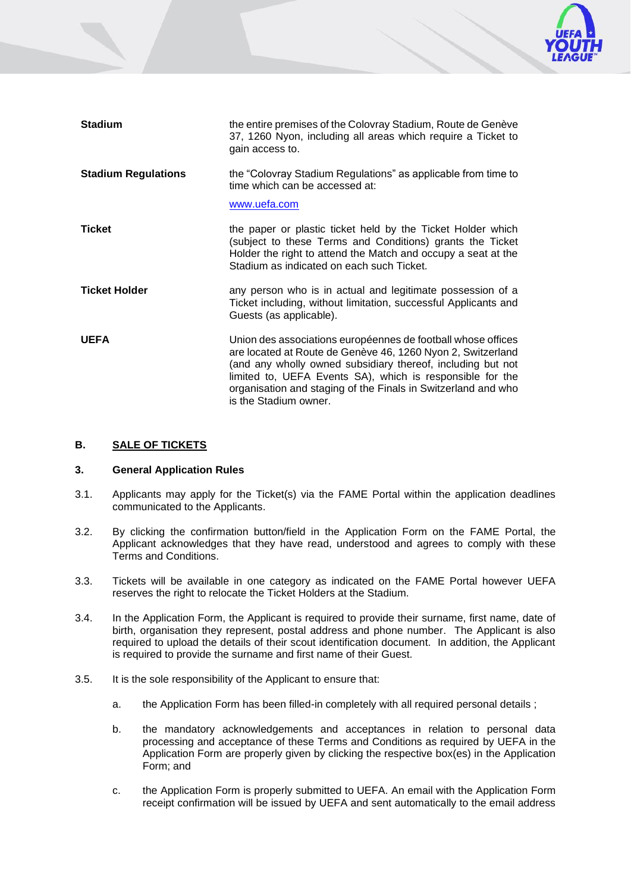

| <b>Stadium</b>             | the entire premises of the Colovray Stadium, Route de Genève<br>37, 1260 Nyon, including all areas which require a Ticket to<br>gain access to.                                                                                                                                                                                                   |
|----------------------------|---------------------------------------------------------------------------------------------------------------------------------------------------------------------------------------------------------------------------------------------------------------------------------------------------------------------------------------------------|
| <b>Stadium Regulations</b> | the "Colovray Stadium Regulations" as applicable from time to<br>time which can be accessed at:<br>www.uefa.com                                                                                                                                                                                                                                   |
| <b>Ticket</b>              | the paper or plastic ticket held by the Ticket Holder which<br>(subject to these Terms and Conditions) grants the Ticket<br>Holder the right to attend the Match and occupy a seat at the<br>Stadium as indicated on each such Ticket.                                                                                                            |
| <b>Ticket Holder</b>       | any person who is in actual and legitimate possession of a<br>Ticket including, without limitation, successful Applicants and<br>Guests (as applicable).                                                                                                                                                                                          |
| <b>UEFA</b>                | Union des associations européennes de football whose offices<br>are located at Route de Genève 46, 1260 Nyon 2, Switzerland<br>(and any wholly owned subsidiary thereof, including but not<br>limited to, UEFA Events SA), which is responsible for the<br>organisation and staging of the Finals in Switzerland and who<br>is the Stadium owner. |

### **B. SALE OF TICKETS**

## **3. General Application Rules**

- 3.1. Applicants may apply for the Ticket(s) via the FAME Portal within the application deadlines communicated to the Applicants.
- 3.2. By clicking the confirmation button/field in the Application Form on the FAME Portal, the Applicant acknowledges that they have read, understood and agrees to comply with these Terms and Conditions.
- 3.3. Tickets will be available in one category as indicated on the FAME Portal however UEFA reserves the right to relocate the Ticket Holders at the Stadium.
- 3.4. In the Application Form, the Applicant is required to provide their surname, first name, date of birth, organisation they represent, postal address and phone number. The Applicant is also required to upload the details of their scout identification document. In addition, the Applicant is required to provide the surname and first name of their Guest.
- 3.5. It is the sole responsibility of the Applicant to ensure that:
	- a. the Application Form has been filled-in completely with all required personal details ;
	- b. the mandatory acknowledgements and acceptances in relation to personal data processing and acceptance of these Terms and Conditions as required by UEFA in the Application Form are properly given by clicking the respective box(es) in the Application Form; and
	- c. the Application Form is properly submitted to UEFA. An email with the Application Form receipt confirmation will be issued by UEFA and sent automatically to the email address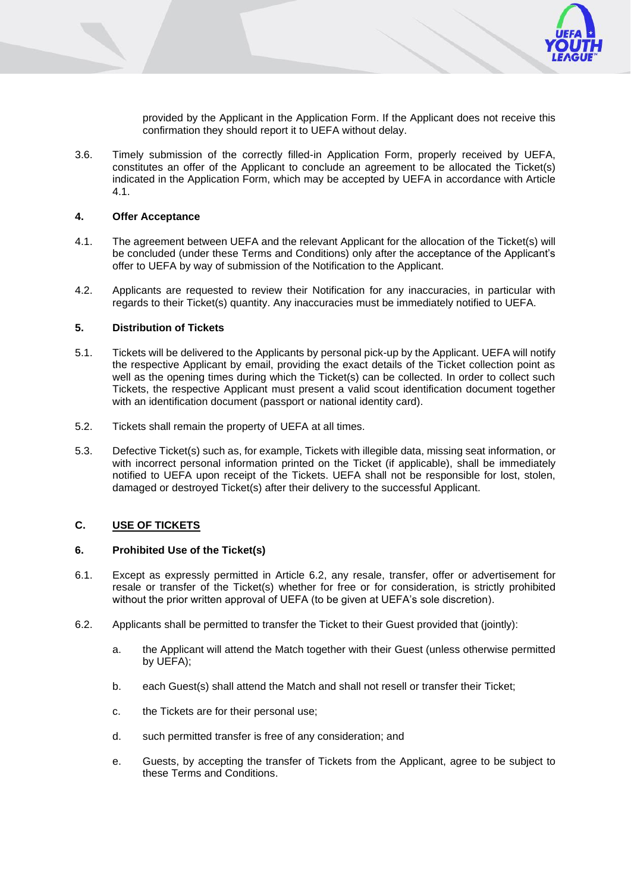

provided by the Applicant in the Application Form. If the Applicant does not receive this confirmation they should report it to UEFA without delay.

3.6. Timely submission of the correctly filled-in Application Form, properly received by UEFA, constitutes an offer of the Applicant to conclude an agreement to be allocated the Ticket(s) indicated in the Application Form, which may be accepted by UEFA in accordance with Article [4.1.](#page-2-0)

### **4. Offer Acceptance**

- <span id="page-2-0"></span>4.1. The agreement between UEFA and the relevant Applicant for the allocation of the Ticket(s) will be concluded (under these Terms and Conditions) only after the acceptance of the Applicant's offer to UEFA by way of submission of the Notification to the Applicant.
- 4.2. Applicants are requested to review their Notification for any inaccuracies, in particular with regards to their Ticket(s) quantity. Any inaccuracies must be immediately notified to UEFA.

#### **5. Distribution of Tickets**

- 5.1. Tickets will be delivered to the Applicants by personal pick-up by the Applicant. UEFA will notify the respective Applicant by email, providing the exact details of the Ticket collection point as well as the opening times during which the Ticket(s) can be collected. In order to collect such Tickets, the respective Applicant must present a valid scout identification document together with an identification document (passport or national identity card).
- 5.2. Tickets shall remain the property of UEFA at all times.
- 5.3. Defective Ticket(s) such as, for example, Tickets with illegible data, missing seat information, or with incorrect personal information printed on the Ticket (if applicable), shall be immediately notified to UEFA upon receipt of the Tickets. UEFA shall not be responsible for lost, stolen, damaged or destroyed Ticket(s) after their delivery to the successful Applicant.

## **C. USE OF TICKETS**

## **6. Prohibited Use of the Ticket(s)**

- 6.1. Except as expressly permitted in Article 6.2, any resale, transfer, offer or advertisement for resale or transfer of the Ticket(s) whether for free or for consideration, is strictly prohibited without the prior written approval of UEFA (to be given at UEFA's sole discretion).
- 6.2. Applicants shall be permitted to transfer the Ticket to their Guest provided that (jointly):
	- a. the Applicant will attend the Match together with their Guest (unless otherwise permitted by UEFA);
	- b. each Guest(s) shall attend the Match and shall not resell or transfer their Ticket;
	- c. the Tickets are for their personal use;
	- d. such permitted transfer is free of any consideration; and
	- e. Guests, by accepting the transfer of Tickets from the Applicant, agree to be subject to these Terms and Conditions.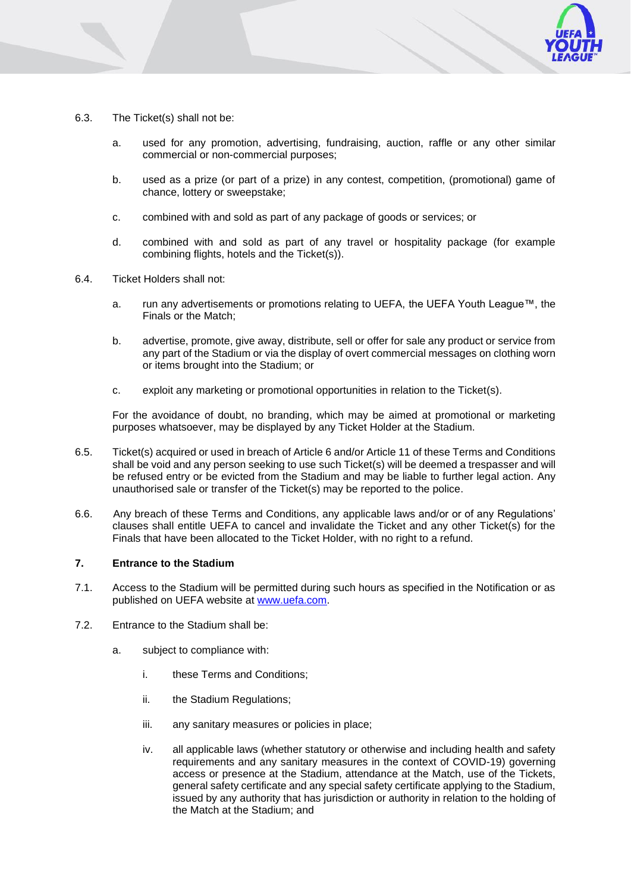

- 6.3. The Ticket(s) shall not be:
	- a. used for any promotion, advertising, fundraising, auction, raffle or any other similar commercial or non-commercial purposes;
	- b. used as a prize (or part of a prize) in any contest, competition, (promotional) game of chance, lottery or sweepstake;
	- c. combined with and sold as part of any package of goods or services; or
	- d. combined with and sold as part of any travel or hospitality package (for example combining flights, hotels and the Ticket(s)).
- 6.4. Ticket Holders shall not:
	- a. run any advertisements or promotions relating to UEFA, the UEFA Youth League™, the Finals or the Match;
	- b. advertise, promote, give away, distribute, sell or offer for sale any product or service from any part of the Stadium or via the display of overt commercial messages on clothing worn or items brought into the Stadium; or
	- c. exploit any marketing or promotional opportunities in relation to the Ticket(s).

For the avoidance of doubt, no branding, which may be aimed at promotional or marketing purposes whatsoever, may be displayed by any Ticket Holder at the Stadium.

- 6.5. Ticket(s) acquired or used in breach of Article 6 and/or Article 11 of these Terms and Conditions shall be void and any person seeking to use such Ticket(s) will be deemed a trespasser and will be refused entry or be evicted from the Stadium and may be liable to further legal action. Any unauthorised sale or transfer of the Ticket(s) may be reported to the police.
- 6.6. Any breach of these Terms and Conditions, any applicable laws and/or or of any Regulations' clauses shall entitle UEFA to cancel and invalidate the Ticket and any other Ticket(s) for the Finals that have been allocated to the Ticket Holder, with no right to a refund.

### **7. Entrance to the Stadium**

- 7.1. Access to the Stadium will be permitted during such hours as specified in the Notification or as published on UEFA website at [www.uefa.com.](http://www.uefa.com/)
- 7.2. Entrance to the Stadium shall be:
	- a. subject to compliance with:
		- i. these Terms and Conditions;
		- ii. the Stadium Regulations;
		- iii. any sanitary measures or policies in place;
		- iv. all applicable laws (whether statutory or otherwise and including health and safety requirements and any sanitary measures in the context of COVID-19) governing access or presence at the Stadium, attendance at the Match, use of the Tickets, general safety certificate and any special safety certificate applying to the Stadium, issued by any authority that has jurisdiction or authority in relation to the holding of the Match at the Stadium; and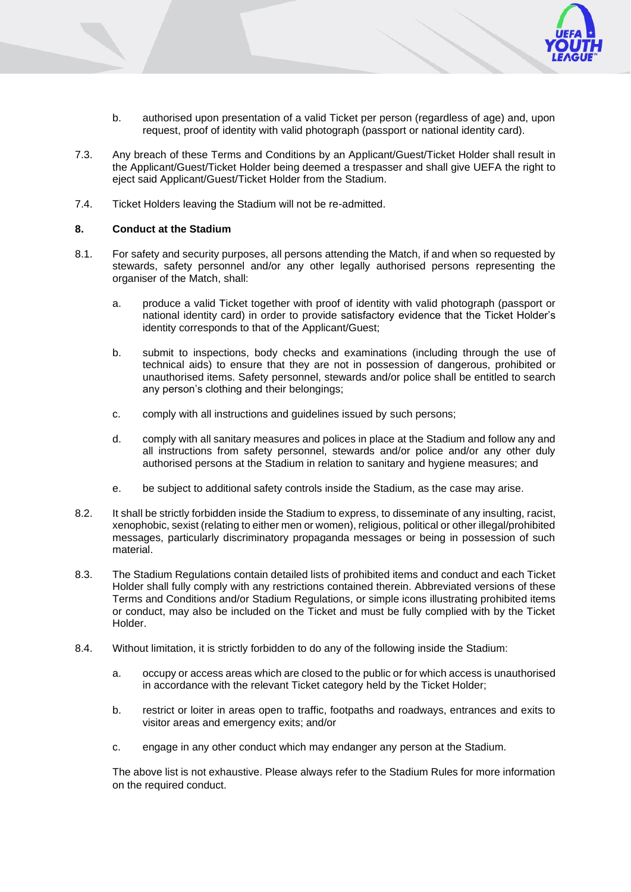

- b. authorised upon presentation of a valid Ticket per person (regardless of age) and, upon request, proof of identity with valid photograph (passport or national identity card).
- 7.3. Any breach of these Terms and Conditions by an Applicant/Guest/Ticket Holder shall result in the Applicant/Guest/Ticket Holder being deemed a trespasser and shall give UEFA the right to eject said Applicant/Guest/Ticket Holder from the Stadium.
- 7.4. Ticket Holders leaving the Stadium will not be re-admitted.

### **8. Conduct at the Stadium**

- 8.1. For safety and security purposes, all persons attending the Match, if and when so requested by stewards, safety personnel and/or any other legally authorised persons representing the organiser of the Match, shall:
	- a. produce a valid Ticket together with proof of identity with valid photograph (passport or national identity card) in order to provide satisfactory evidence that the Ticket Holder's identity corresponds to that of the Applicant/Guest;
	- b. submit to inspections, body checks and examinations (including through the use of technical aids) to ensure that they are not in possession of dangerous, prohibited or unauthorised items. Safety personnel, stewards and/or police shall be entitled to search any person's clothing and their belongings;
	- c. comply with all instructions and guidelines issued by such persons;
	- d. comply with all sanitary measures and polices in place at the Stadium and follow any and all instructions from safety personnel, stewards and/or police and/or any other duly authorised persons at the Stadium in relation to sanitary and hygiene measures; and
	- e. be subject to additional safety controls inside the Stadium, as the case may arise.
- 8.2. It shall be strictly forbidden inside the Stadium to express, to disseminate of any insulting, racist, xenophobic, sexist (relating to either men or women), religious, political or other illegal/prohibited messages, particularly discriminatory propaganda messages or being in possession of such material.
- 8.3. The Stadium Regulations contain detailed lists of prohibited items and conduct and each Ticket Holder shall fully comply with any restrictions contained therein. Abbreviated versions of these Terms and Conditions and/or Stadium Regulations, or simple icons illustrating prohibited items or conduct, may also be included on the Ticket and must be fully complied with by the Ticket Holder.
- 8.4. Without limitation, it is strictly forbidden to do any of the following inside the Stadium:
	- a. occupy or access areas which are closed to the public or for which access is unauthorised in accordance with the relevant Ticket category held by the Ticket Holder;
	- b. restrict or loiter in areas open to traffic, footpaths and roadways, entrances and exits to visitor areas and emergency exits; and/or
	- c. engage in any other conduct which may endanger any person at the Stadium.

The above list is not exhaustive. Please always refer to the Stadium Rules for more information on the required conduct.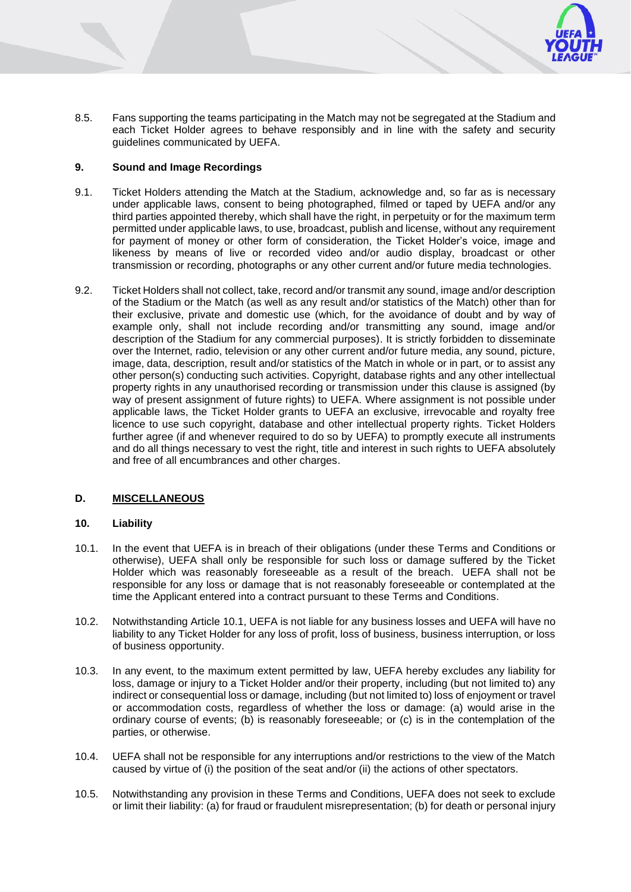

8.5. Fans supporting the teams participating in the Match may not be segregated at the Stadium and each Ticket Holder agrees to behave responsibly and in line with the safety and security guidelines communicated by UEFA.

## **9. Sound and Image Recordings**

- 9.1. Ticket Holders attending the Match at the Stadium, acknowledge and, so far as is necessary under applicable laws, consent to being photographed, filmed or taped by UEFA and/or any third parties appointed thereby, which shall have the right, in perpetuity or for the maximum term permitted under applicable laws, to use, broadcast, publish and license, without any requirement for payment of money or other form of consideration, the Ticket Holder's voice, image and likeness by means of live or recorded video and/or audio display, broadcast or other transmission or recording, photographs or any other current and/or future media technologies.
- 9.2. Ticket Holders shall not collect, take, record and/or transmit any sound, image and/or description of the Stadium or the Match (as well as any result and/or statistics of the Match) other than for their exclusive, private and domestic use (which, for the avoidance of doubt and by way of example only, shall not include recording and/or transmitting any sound, image and/or description of the Stadium for any commercial purposes). It is strictly forbidden to disseminate over the Internet, radio, television or any other current and/or future media, any sound, picture, image, data, description, result and/or statistics of the Match in whole or in part, or to assist any other person(s) conducting such activities. Copyright, database rights and any other intellectual property rights in any unauthorised recording or transmission under this clause is assigned (by way of present assignment of future rights) to UEFA. Where assignment is not possible under applicable laws, the Ticket Holder grants to UEFA an exclusive, irrevocable and royalty free licence to use such copyright, database and other intellectual property rights. Ticket Holders further agree (if and whenever required to do so by UEFA) to promptly execute all instruments and do all things necessary to vest the right, title and interest in such rights to UEFA absolutely and free of all encumbrances and other charges.

# **D. MISCELLANEOUS**

## <span id="page-5-1"></span>**10. Liability**

- <span id="page-5-0"></span>10.1. In the event that UEFA is in breach of their obligations (under these Terms and Conditions or otherwise), UEFA shall only be responsible for such loss or damage suffered by the Ticket Holder which was reasonably foreseeable as a result of the breach. UEFA shall not be responsible for any loss or damage that is not reasonably foreseeable or contemplated at the time the Applicant entered into a contract pursuant to these Terms and Conditions.
- 10.2. Notwithstanding Article [10.1,](#page-5-0) UEFA is not liable for any business losses and UEFA will have no liability to any Ticket Holder for any loss of profit, loss of business, business interruption, or loss of business opportunity.
- 10.3. In any event, to the maximum extent permitted by law, UEFA hereby excludes any liability for loss, damage or injury to a Ticket Holder and/or their property, including (but not limited to) any indirect or consequential loss or damage, including (but not limited to) loss of enjoyment or travel or accommodation costs, regardless of whether the loss or damage: (a) would arise in the ordinary course of events; (b) is reasonably foreseeable; or (c) is in the contemplation of the parties, or otherwise.
- 10.4. UEFA shall not be responsible for any interruptions and/or restrictions to the view of the Match caused by virtue of (i) the position of the seat and/or (ii) the actions of other spectators.
- 10.5. Notwithstanding any provision in these Terms and Conditions, UEFA does not seek to exclude or limit their liability: (a) for fraud or fraudulent misrepresentation; (b) for death or personal injury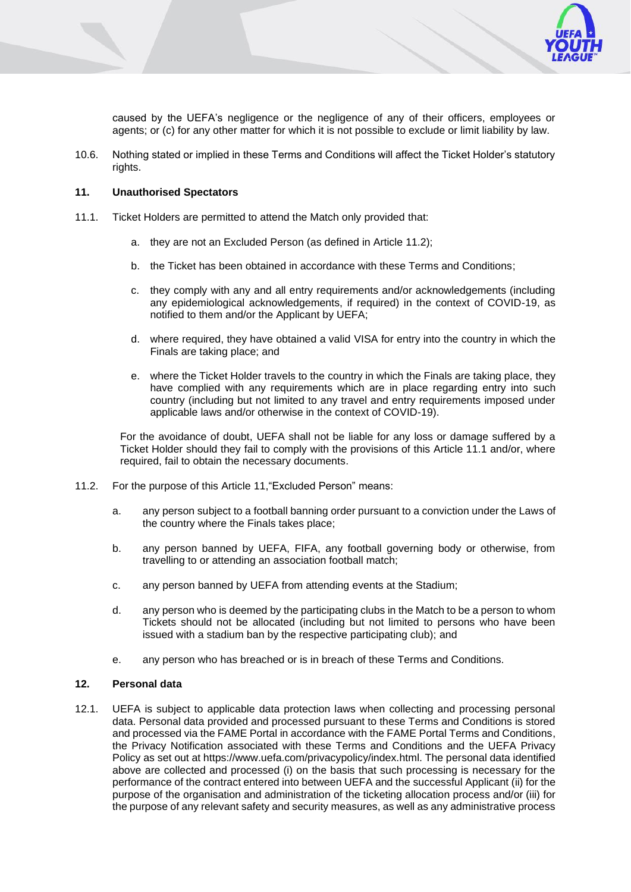

caused by the UEFA's negligence or the negligence of any of their officers, employees or agents; or (c) for any other matter for which it is not possible to exclude or limit liability by law.

10.6. Nothing stated or implied in these Terms and Conditions will affect the Ticket Holder's statutory rights.

### <span id="page-6-0"></span>**11. Unauthorised Spectators**

- 11.1. Ticket Holders are permitted to attend the Match only provided that:
	- a. they are not an Excluded Person (as defined in Article 11.2);
	- b. the Ticket has been obtained in accordance with these Terms and Conditions;
	- c. they comply with any and all entry requirements and/or acknowledgements (including any epidemiological acknowledgements, if required) in the context of COVID-19, as notified to them and/or the Applicant by UEFA;
	- d. where required, they have obtained a valid VISA for entry into the country in which the Finals are taking place; and
	- e. where the Ticket Holder travels to the country in which the Finals are taking place, they have complied with any requirements which are in place regarding entry into such country (including but not limited to any travel and entry requirements imposed under applicable laws and/or otherwise in the context of COVID-19).

For the avoidance of doubt, UEFA shall not be liable for any loss or damage suffered by a Ticket Holder should they fail to comply with the provisions of this Article 11.1 and/or, where required, fail to obtain the necessary documents.

- 11.2. For the purpose of this Article [11,](#page-6-0)"Excluded Person" means:
	- a. any person subject to a football banning order pursuant to a conviction under the Laws of the country where the Finals takes place;
	- b. any person banned by UEFA, FIFA, any football governing body or otherwise, from travelling to or attending an association football match;
	- c. any person banned by UEFA from attending events at the Stadium;
	- d. any person who is deemed by the participating clubs in the Match to be a person to whom Tickets should not be allocated (including but not limited to persons who have been issued with a stadium ban by the respective participating club); and
	- e. any person who has breached or is in breach of these Terms and Conditions.

#### **12. Personal data**

12.1. UEFA is subject to applicable data protection laws when collecting and processing personal data. Personal data provided and processed pursuant to these Terms and Conditions is stored and processed via the FAME Portal in accordance with the FAME Portal Terms and Conditions, the Privacy Notification associated with these Terms and Conditions and the UEFA Privacy Policy as set out at https://www.uefa.com/privacypolicy/index.html. The personal data identified above are collected and processed (i) on the basis that such processing is necessary for the performance of the contract entered into between UEFA and the successful Applicant (ii) for the purpose of the organisation and administration of the ticketing allocation process and/or (iii) for the purpose of any relevant safety and security measures, as well as any administrative process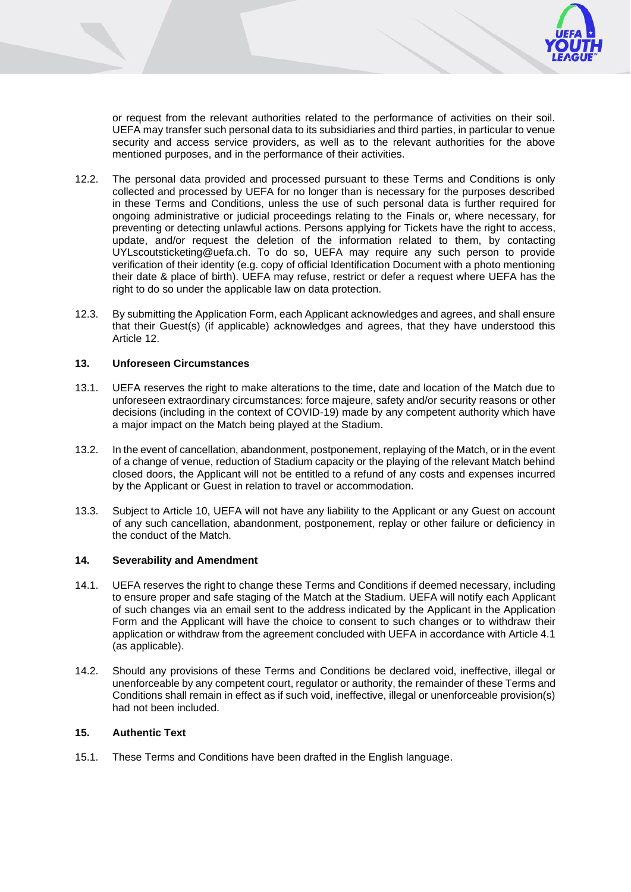

or request from the relevant authorities related to the performance of activities on their soil. UEFA may transfer such personal data to its subsidiaries and third parties, in particular to venue security and access service providers, as well as to the relevant authorities for the above mentioned purposes, and in the performance of their activities.

- 12.2. The personal data provided and processed pursuant to these Terms and Conditions is only collected and processed by UEFA for no longer than is necessary for the purposes described in these Terms and Conditions, unless the use of such personal data is further required for ongoing administrative or judicial proceedings relating to the Finals or, where necessary, for preventing or detecting unlawful actions. Persons applying for Tickets have the right to access, update, and/or request the deletion of the information related to them, by contacting UYLscoutsticketing@uefa.ch. To do so, UEFA may require any such person to provide verification of their identity (e.g. copy of official Identification Document with a photo mentioning their date & place of birth). UEFA may refuse, restrict or defer a request where UEFA has the right to do so under the applicable law on data protection.
- 12.3. By submitting the Application Form, each Applicant acknowledges and agrees, and shall ensure that their Guest(s) (if applicable) acknowledges and agrees, that they have understood this Article 12.

### **13. Unforeseen Circumstances**

- 13.1. UEFA reserves the right to make alterations to the time, date and location of the Match due to unforeseen extraordinary circumstances: force majeure, safety and/or security reasons or other decisions (including in the context of COVID-19) made by any competent authority which have a major impact on the Match being played at the Stadium.
- 13.2. In the event of cancellation, abandonment, postponement, replaying of the Match, or in the event of a change of venue, reduction of Stadium capacity or the playing of the relevant Match behind closed doors, the Applicant will not be entitled to a refund of any costs and expenses incurred by the Applicant or Guest in relation to travel or accommodation.
- 13.3. Subject to Article [10,](#page-5-1) UEFA will not have any liability to the Applicant or any Guest on account of any such cancellation, abandonment, postponement, replay or other failure or deficiency in the conduct of the Match.

#### **14. Severability and Amendment**

- 14.1. UEFA reserves the right to change these Terms and Conditions if deemed necessary, including to ensure proper and safe staging of the Match at the Stadium. UEFA will notify each Applicant of such changes via an email sent to the address indicated by the Applicant in the Application Form and the Applicant will have the choice to consent to such changes or to withdraw their application or withdraw from the agreement concluded with UEFA in accordance with Article 4.1 (as applicable).
- 14.2. Should any provisions of these Terms and Conditions be declared void, ineffective, illegal or unenforceable by any competent court, regulator or authority, the remainder of these Terms and Conditions shall remain in effect as if such void, ineffective, illegal or unenforceable provision(s) had not been included.

### **15. Authentic Text**

15.1. These Terms and Conditions have been drafted in the English language.